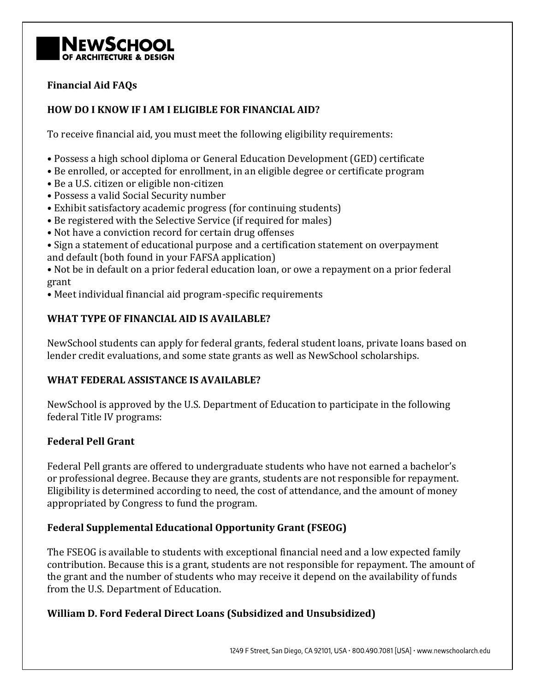

## **Financial Aid FAQs**

## **HOW DO I KNOW IF I AM I ELIGIBLE FOR FINANCIAL AID?**

To receive financial aid, you must meet the following eligibility requirements:

- Possess a high school diploma or General Education Development (GED) certificate
- Be enrolled, or accepted for enrollment, in an eligible degree or certificate program
- Be a U.S. citizen or eligible non-citizen
- Possess a valid Social Security number
- Exhibit satisfactory academic progress (for continuing students)
- Be registered with the Selective Service (if required for males)
- Not have a conviction record for certain drug offenses
- Sign a statement of educational purpose and a certification statement on overpayment and default (both found in your FAFSA application)

• Not be in default on a prior federal education loan, or owe a repayment on a prior federal grant

• Meet individual financial aid program-specific requirements

## **WHAT TYPE OF FINANCIAL AID IS AVAILABLE?**

NewSchool students can apply for federal grants, federal student loans, private loans based on lender credit evaluations, and some state grants as well as NewSchool scholarships.

## **WHAT FEDERAL ASSISTANCE IS AVAILABLE?**

NewSchool is approved by the U.S. Department of Education to participate in the following federal Title IV programs:

## **Federal Pell Grant**

Federal Pell grants are offered to undergraduate students who have not earned a bachelor's or professional degree. Because they are grants, students are not responsible for repayment. Eligibility is determined according to need, the cost of attendance, and the amount of money appropriated by Congress to fund the program.

## **Federal Supplemental Educational Opportunity Grant (FSEOG)**

The FSEOG is available to students with exceptional financial need and a low expected family contribution. Because this is a grant, students are not responsible for repayment. The amount of the grant and the number of students who may receive it depend on the availability of funds from the U.S. Department of Education.

## **William D. Ford Federal Direct Loans (Subsidized and Unsubsidized)**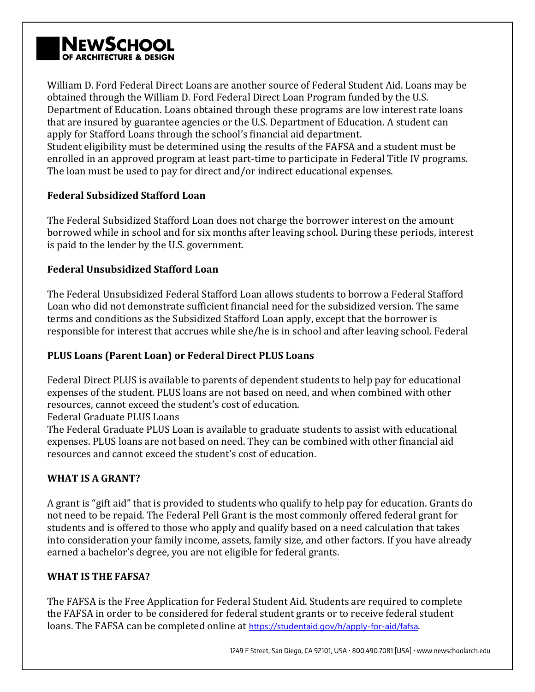# **NEWSCHOOL**

William D. Ford Federal Direct Loans are another source of Federal Student Aid. Loans may be obtained through the William D. Ford Federal Direct Loan Program funded by the U.S. Department of Education. Loans obtained through these programs are low interest rate loans that are insured by guarantee agencies or the U.S. Department of Education. A student can apply for Stafford Loans through the school's financial aid department. Student eligibility must be determined using the results of the FAFSA and a student must be enrolled in an approved program at least part-time to participate in Federal Title IV programs. The loan must be used to pay for direct and/or indirect educational expenses.

# **Federal Subsidized Stafford Loan**

The Federal Subsidized Stafford Loan does not charge the borrower interest on the amount borrowed while in school and for six months after leaving school. During these periods, interest is paid to the lender by the U.S. government.

## **Federal Unsubsidized Stafford Loan**

The Federal Unsubsidized Federal Stafford Loan allows students to borrow a Federal Stafford Loan who did not demonstrate sufficient financial need for the subsidized version. The same terms and conditions as the Subsidized Stafford Loan apply, except that the borrower is responsible for interest that accrues while she/he is in school and after leaving school. Federal

# **PLUS Loans (Parent Loan) or Federal Direct PLUS Loans**

Federal Direct PLUS is available to parents of dependent students to help pay for educational expenses of the student. PLUS loans are not based on need, and when combined with other resources, cannot exceed the student's cost of education.

Federal Graduate PLUS Loans

The Federal Graduate PLUS Loan is available to graduate students to assist with educational expenses. PLUS loans are not based on need. They can be combined with other financial aid resources and cannot exceed the student's cost of education.

# **WHAT IS A GRANT?**

A grant is "gift aid" that is provided to students who qualify to help pay for education. Grants do not need to be repaid. The Federal Pell Grant is the most commonly offered federal grant for students and is offered to those who apply and qualify based on a need calculation that takes into consideration your family income, assets, family size, and other factors. If you have already earned a bachelor's degree, you are not eligible for federal grants.

## **WHAT IS THE FAFSA?**

The FAFSA is the Free Application for Federal Student Aid. Students are required to complete the FAFSA in order to be considered for federal student grants or to receive federal student loans. The FAFSA can be completed online at <https://studentaid.gov/h/apply-for-aid/fafsa>.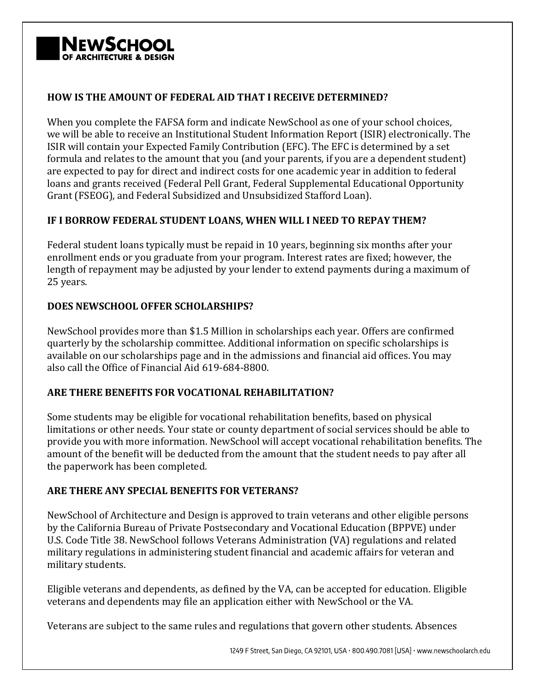

## **HOW IS THE AMOUNT OF FEDERAL AID THAT I RECEIVE DETERMINED?**

When you complete the FAFSA form and indicate NewSchool as one of your school choices, we will be able to receive an Institutional Student Information Report (ISIR) electronically. The ISIR will contain your Expected Family Contribution (EFC). The EFC is determined by a set formula and relates to the amount that you (and your parents, if you are a dependent student) are expected to pay for direct and indirect costs for one academic year in addition to federal loans and grants received (Federal Pell Grant, Federal Supplemental Educational Opportunity Grant (FSEOG), and Federal Subsidized and Unsubsidized Stafford Loan).

## **IF I BORROW FEDERAL STUDENT LOANS, WHEN WILL I NEED TO REPAY THEM?**

Federal student loans typically must be repaid in 10 years, beginning six months after your enrollment ends or you graduate from your program. Interest rates are fixed; however, the length of repayment may be adjusted by your lender to extend payments during a maximum of 25 years.

## **DOES NEWSCHOOL OFFER SCHOLARSHIPS?**

NewSchool provides more than \$1.5 Million in scholarships each year. Offers are confirmed quarterly by the scholarship committee. Additional information on specific scholarships is available on our scholarships page and in the admissions and financial aid offices. You may also call the Office of Financial Aid 619-684-8800.

## **ARE THERE BENEFITS FOR VOCATIONAL REHABILITATION?**

Some students may be eligible for vocational rehabilitation benefits, based on physical limitations or other needs. Your state or county department of social services should be able to provide you with more information. NewSchool will accept vocational rehabilitation benefits. The amount of the benefit will be deducted from the amount that the student needs to pay after all the paperwork has been completed.

# **ARE THERE ANY SPECIAL BENEFITS FOR VETERANS?**

NewSchool of Architecture and Design is approved to train veterans and other eligible persons by the California Bureau of Private Postsecondary and Vocational Education (BPPVE) under U.S. Code Title 38. NewSchool follows Veterans Administration (VA) regulations and related military regulations in administering student financial and academic affairs for veteran and military students.

Eligible veterans and dependents, as defined by the VA, can be accepted for education. Eligible veterans and dependents may file an application either with NewSchool or the VA.

Veterans are subject to the same rules and regulations that govern other students. Absences

1249 F Street, San Diego, CA 92101, USA · 800.490.7081 [USA] · www.newschoolarch.edu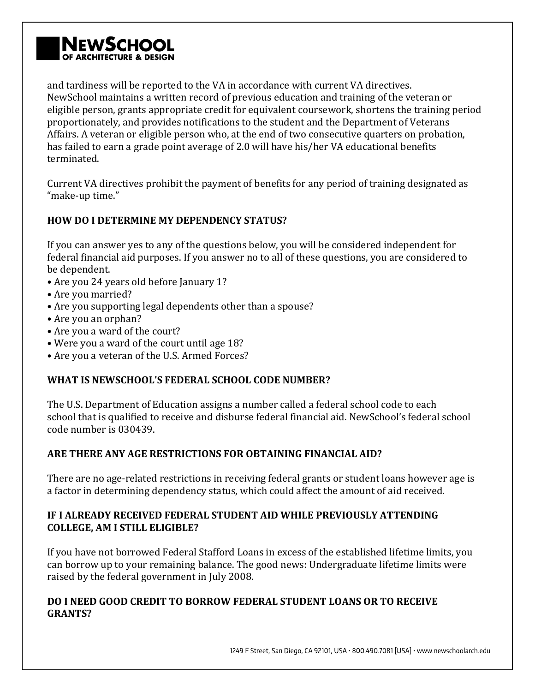# **NEWSCHOC** OF ARCHITECTURE & DESIGN

and tardiness will be reported to the VA in accordance with current VA directives. NewSchool maintains a written record of previous education and training of the veteran or eligible person, grants appropriate credit for equivalent coursework, shortens the training period proportionately, and provides notifications to the student and the Department of Veterans Affairs. A veteran or eligible person who, at the end of two consecutive quarters on probation, has failed to earn a grade point average of 2.0 will have his/her VA educational benefits terminated.

Current VA directives prohibit the payment of benefits for any period of training designated as "make-up time."

# **HOW DO I DETERMINE MY DEPENDENCY STATUS?**

If you can answer yes to any of the questions below, you will be considered independent for federal financial aid purposes. If you answer no to all of these questions, you are considered to be dependent.

- Are you 24 years old before January 1?
- Are you married?
- Are you supporting legal dependents other than a spouse?
- Are you an orphan?
- Are you a ward of the court?
- Were you a ward of the court until age 18?
- Are you a veteran of the U.S. Armed Forces?

# **WHAT IS NEWSCHOOL'S FEDERAL SCHOOL CODE NUMBER?**

The U.S. Department of Education assigns a number called a federal school code to each school that is qualified to receive and disburse federal financial aid. NewSchool's federal school code number is 030439.

# **ARE THERE ANY AGE RESTRICTIONS FOR OBTAINING FINANCIAL AID?**

There are no age-related restrictions in receiving federal grants or student loans however age is a factor in determining dependency status, which could affect the amount of aid received.

## **IF I ALREADY RECEIVED FEDERAL STUDENT AID WHILE PREVIOUSLY ATTENDING COLLEGE, AM I STILL ELIGIBLE?**

If you have not borrowed Federal Stafford Loans in excess of the established lifetime limits, you can borrow up to your remaining balance. The good news: Undergraduate lifetime limits were raised by the federal government in July 2008.

# **DO I NEED GOOD CREDIT TO BORROW FEDERAL STUDENT LOANS OR TO RECEIVE GRANTS?**